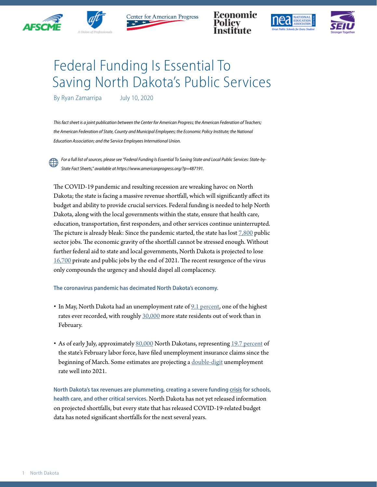



Center for American Progress







## Federal Funding Is Essential To Saving North Dakota's Public Services

By Ryan Zamarripa July 10, 2020

*This fact sheet is a joint publication between the Center for American Progress; the American Federation of Teachers;*  the American Federation of State, County and Municipal Employees; the Economic Policy Institute; the National *Education Association; and the Service Employees International Union.*

*For a full list of sources, please see "Federal Funding Is Essential To Saving State and Local Public Services: State-by-State Fact Sheets," available at https://www.americanprogress.org/?p=487191.*

The COVID-19 pandemic and resulting recession are wreaking havoc on North Dakota; the state is facing a massive revenue shortfall, which will significantly affect its budget and ability to provide crucial services. Federal funding is needed to help North Dakota, along with the local governments within the state, ensure that health care, education, transportation, first responders, and other services continue uninterrupted. The picture is already bleak: Since the pandemic started, the state has lost [7,800](https://www.bls.gov/news.release/laus.t03.htm) public sector jobs. The economic gravity of the shortfall cannot be stressed enough. Without further federal aid to state and local governments, North Dakota is projected to lose [16,700](https://www.epi.org/blog/without-federal-aid-to-state-and-local-governments-5-3-million-workers-will-likely-lose-their-jobs-by-the-end-of-2021-see-estimated-job-losses-by-state/) private and public jobs by the end of 2021. The recent resurgence of the virus only compounds the urgency and should dispel all complacency.

**The coronavirus pandemic has decimated North Dakota's economy.** 

- In May, North Dakota had an unemployment rate of [9.1 percent](https://www.bls.gov/news.release/laus.t01.htm), one of the highest rates ever recorded, with roughly [30,000](https://www.bls.gov/news.release/laus.t03.htm) more state residents out of work than in February.
- As of early July, approximately [80,000](https://oui.doleta.gov/unemploy/claims_arch.asp) North Dakotans, representing [19.7 percent](https://www.bls.gov/news.release/laus.t01.htm) of the state's February labor force, have filed unemployment insurance claims since the beginning of March. Some estimates are projecting a [double-digit](http://www.oecd.org/economic-outlook/june-2020/#:~:text=Global%20economic%20activity%20falls%206,across%20the%20economy%20by%202021.) unemployment rate well into 2021.

**North Dakota's tax revenues are plummeting, creating a severe funding [crisis](https://www.cbpp.org/research/state-budget-and-tax/states-grappling-with-hit-to-tax-collections) for schools, health care, and other critical services.** North Dakota has not yet released information on projected shortfalls, but every state that has released COVID-19-related budget data has noted significant shortfalls for the next several years.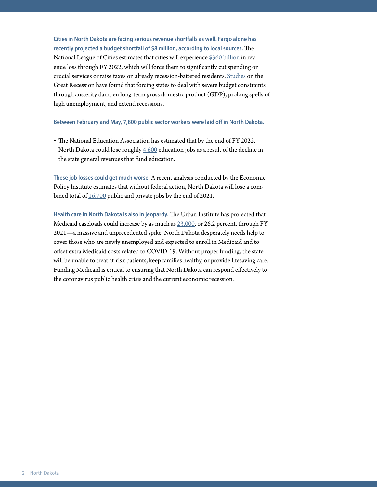**Cities in North Dakota are facing serious revenue shortfalls as well. Fargo alone has recently projected a budget shortfall of \$8 million, according to [local sources.](https://www.usmayors.org/issues/covid-19/fiscal-pain-tracker/)** The National League of Cities estimates that cities will experience [\\$360 billion](https://www.nlc.org/sites/default/files/users/user52651/Cities%20Are%20Essential%20Revenue%20Loss_One%20Pager.pdf) in revenue loss through FY 2022, which will force them to significantly cut spending on crucial services or raise taxes on already recession-battered residents. [Studies](https://www.americanprogress.org/issues/economy/reports/2014/05/30/90621/what-have-we-learned-about-austerity-since-the-great-recession/) on the Great Recession have found that forcing states to deal with severe budget constraints through austerity dampen long-term gross domestic product (GDP), prolong spells of high unemployment, and extend recessions.

**Between February and May, [7,800](https://www.bls.gov/news.release/laus.t03.htm) public sector workers were laid off in North Dakota.**

• The National Education Association has estimated that by the end of FY 2022, North Dakota could lose roughly [4,600](https://educationvotes.nea.org/wp-content/uploads/2020/06/Revised-NEA-Estimates-in-Support-of-the-HEROES-Act-06-06-2020.pdf?_ga=2.17671737.1424969520.1591579607-1012899167.1494591151) education jobs as a result of the decline in the state general revenues that fund education.

**These job losses could get much worse.** A recent analysis conducted by the Economic Policy Institute estimates that without federal action, North Dakota will lose a combined total of [16,700](https://www.epi.org/blog/without-federal-aid-to-state-and-local-governments-5-3-million-workers-will-likely-lose-their-jobs-by-the-end-of-2021-see-estimated-job-losses-by-state/) public and private jobs by the end of 2021.

**Health care in North Dakota is also in jeopardy.** The Urban Institute has projected that Medicaid caseloads could increase by as much as [23,000](https://www.urban.org/research/publication/how-covid-19-recession-could-affect-health-insurance-coverage/view/full_report), or 26.2 percent, through FY 2021—a massive and unprecedented spike. North Dakota desperately needs help to cover those who are newly unemployed and expected to enroll in Medicaid and to offset extra Medicaid costs related to COVID-19. Without proper funding, the state will be unable to treat at-risk patients, keep families healthy, or provide lifesaving care. Funding Medicaid is critical to ensuring that North Dakota can respond effectively to the coronavirus public health crisis and the current economic recession.